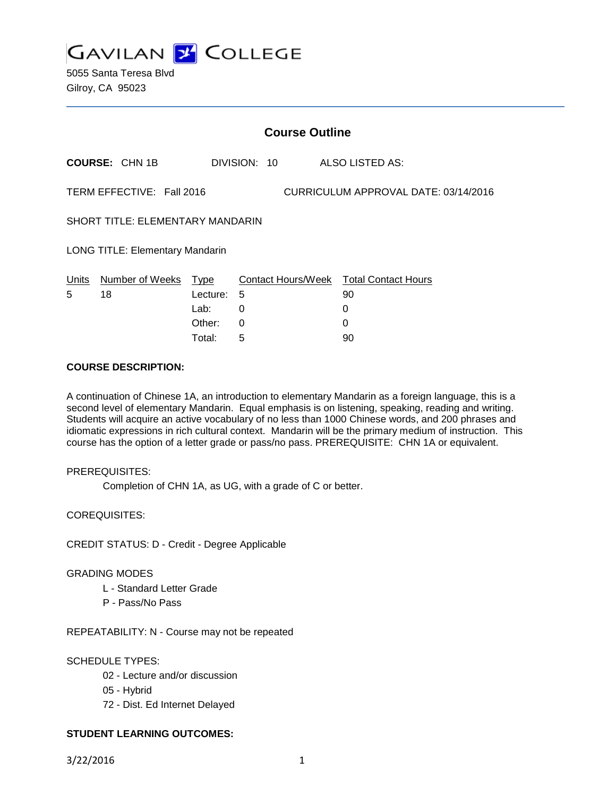

5055 Santa Teresa Blvd Gilroy, CA 95023

|                                                                   | <b>Course Outline</b> |          |              |                                        |
|-------------------------------------------------------------------|-----------------------|----------|--------------|----------------------------------------|
|                                                                   | <b>COURSE: CHN 1B</b> |          | DIVISION: 10 | ALSO LISTED AS:                        |
| TERM EFFECTIVE: Fall 2016<br>CURRICULUM APPROVAL DATE: 03/14/2016 |                       |          |              |                                        |
| <b>SHORT TITLE: ELEMENTARY MANDARIN</b>                           |                       |          |              |                                        |
| <b>LONG TITLE: Elementary Mandarin</b>                            |                       |          |              |                                        |
| Units                                                             | Number of Weeks Type  |          |              | Contact Hours/Week Total Contact Hours |
| 5                                                                 | 18                    | Lecture: | 5            | 90                                     |
|                                                                   |                       | Lab:     | 0            | 0                                      |
|                                                                   |                       | Other:   | 0            | 0                                      |
|                                                                   |                       | Total:   | 5            | 90                                     |

### **COURSE DESCRIPTION:**

A continuation of Chinese 1A, an introduction to elementary Mandarin as a foreign language, this is a second level of elementary Mandarin. Equal emphasis is on listening, speaking, reading and writing. Students will acquire an active vocabulary of no less than 1000 Chinese words, and 200 phrases and idiomatic expressions in rich cultural context. Mandarin will be the primary medium of instruction. This course has the option of a letter grade or pass/no pass. PREREQUISITE: CHN 1A or equivalent.

#### PREREQUISITES:

Completion of CHN 1A, as UG, with a grade of C or better.

COREQUISITES:

CREDIT STATUS: D - Credit - Degree Applicable

#### GRADING MODES

- L Standard Letter Grade
- P Pass/No Pass

REPEATABILITY: N - Course may not be repeated

#### SCHEDULE TYPES:

- 02 Lecture and/or discussion
- 05 Hybrid
- 72 Dist. Ed Internet Delayed

### **STUDENT LEARNING OUTCOMES:**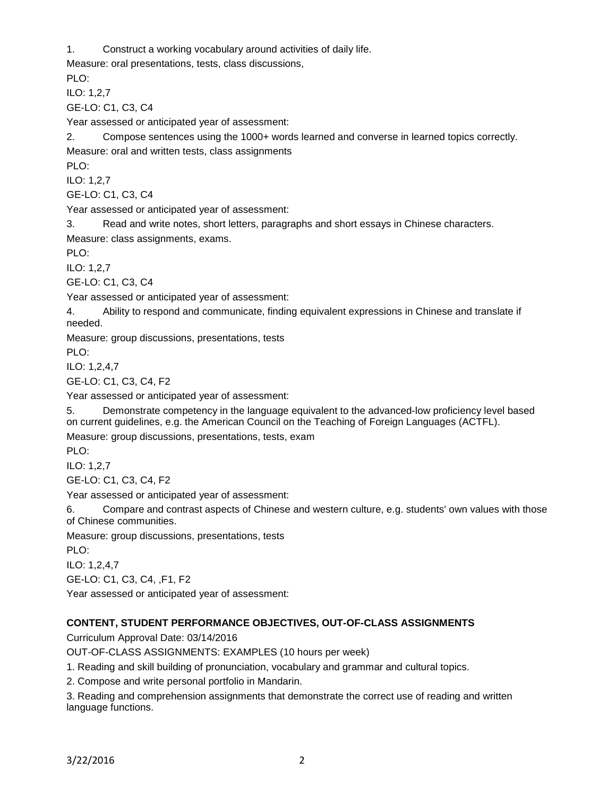1. Construct a working vocabulary around activities of daily life.

Measure: oral presentations, tests, class discussions,

PLO:

ILO: 1,2,7

GE-LO: C1, C3, C4

Year assessed or anticipated year of assessment:

2. Compose sentences using the 1000+ words learned and converse in learned topics correctly. Measure: oral and written tests, class assignments

PLO:

ILO: 1,2,7

GE-LO: C1, C3, C4

Year assessed or anticipated year of assessment:

3. Read and write notes, short letters, paragraphs and short essays in Chinese characters.

Measure: class assignments, exams.

PLO:

ILO: 1,2,7

GE-LO: C1, C3, C4

Year assessed or anticipated year of assessment:

4. Ability to respond and communicate, finding equivalent expressions in Chinese and translate if needed.

Measure: group discussions, presentations, tests

PLO:

ILO: 1,2,4,7

GE-LO: C1, C3, C4, F2

Year assessed or anticipated year of assessment:

5. Demonstrate competency in the language equivalent to the advanced-low proficiency level based on current guidelines, e.g. the American Council on the Teaching of Foreign Languages (ACTFL).

Measure: group discussions, presentations, tests, exam

PLO:

ILO: 1,2,7

GE-LO: C1, C3, C4, F2

Year assessed or anticipated year of assessment:

6. Compare and contrast aspects of Chinese and western culture, e.g. students' own values with those of Chinese communities.

Measure: group discussions, presentations, tests

PLO:

ILO: 1,2,4,7

GE-LO: C1, C3, C4, ,F1, F2

Year assessed or anticipated year of assessment:

# **CONTENT, STUDENT PERFORMANCE OBJECTIVES, OUT-OF-CLASS ASSIGNMENTS**

Curriculum Approval Date: 03/14/2016

OUT-OF-CLASS ASSIGNMENTS: EXAMPLES (10 hours per week)

1. Reading and skill building of pronunciation, vocabulary and grammar and cultural topics.

2. Compose and write personal portfolio in Mandarin.

3. Reading and comprehension assignments that demonstrate the correct use of reading and written language functions.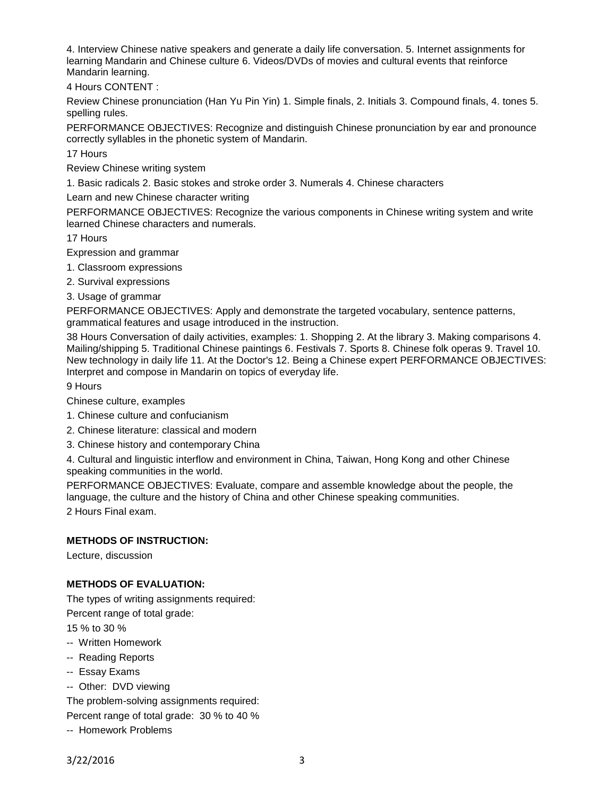4. Interview Chinese native speakers and generate a daily life conversation. 5. Internet assignments for learning Mandarin and Chinese culture 6. Videos/DVDs of movies and cultural events that reinforce Mandarin learning.

4 Hours CONTENT :

Review Chinese pronunciation (Han Yu Pin Yin) 1. Simple finals, 2. Initials 3. Compound finals, 4. tones 5. spelling rules.

PERFORMANCE OBJECTIVES: Recognize and distinguish Chinese pronunciation by ear and pronounce correctly syllables in the phonetic system of Mandarin.

17 Hours

Review Chinese writing system

1. Basic radicals 2. Basic stokes and stroke order 3. Numerals 4. Chinese characters

Learn and new Chinese character writing

PERFORMANCE OBJECTIVES: Recognize the various components in Chinese writing system and write learned Chinese characters and numerals.

17 Hours

Expression and grammar

- 1. Classroom expressions
- 2. Survival expressions
- 3. Usage of grammar

PERFORMANCE OBJECTIVES: Apply and demonstrate the targeted vocabulary, sentence patterns, grammatical features and usage introduced in the instruction.

38 Hours Conversation of daily activities, examples: 1. Shopping 2. At the library 3. Making comparisons 4. Mailing/shipping 5. Traditional Chinese paintings 6. Festivals 7. Sports 8. Chinese folk operas 9. Travel 10. New technology in daily life 11. At the Doctor's 12. Being a Chinese expert PERFORMANCE OBJECTIVES: Interpret and compose in Mandarin on topics of everyday life.

9 Hours

Chinese culture, examples

- 1. Chinese culture and confucianism
- 2. Chinese literature: classical and modern
- 3. Chinese history and contemporary China

4. Cultural and linguistic interflow and environment in China, Taiwan, Hong Kong and other Chinese speaking communities in the world.

PERFORMANCE OBJECTIVES: Evaluate, compare and assemble knowledge about the people, the language, the culture and the history of China and other Chinese speaking communities. 2 Hours Final exam.

#### **METHODS OF INSTRUCTION:**

Lecture, discussion

#### **METHODS OF EVALUATION:**

The types of writing assignments required:

Percent range of total grade:

15 % to 30 %

- -- Written Homework
- -- Reading Reports
- -- Essay Exams
- -- Other: DVD viewing

The problem-solving assignments required:

Percent range of total grade: 30 % to 40 %

-- Homework Problems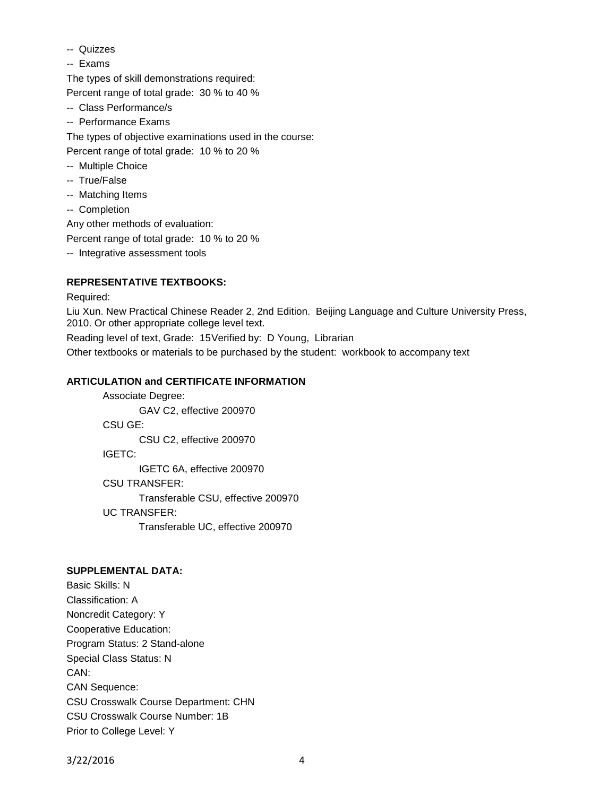- -- Quizzes
- -- Exams

The types of skill demonstrations required: Percent range of total grade: 30 % to 40 %

- -- Class Performance/s
- -- Performance Exams

The types of objective examinations used in the course:

Percent range of total grade: 10 % to 20 %

- -- Multiple Choice
- -- True/False
- -- Matching Items
- -- Completion

Any other methods of evaluation:

Percent range of total grade: 10 % to 20 %

-- Integrative assessment tools

## **REPRESENTATIVE TEXTBOOKS:**

Required:

Liu Xun. New Practical Chinese Reader 2, 2nd Edition. Beijing Language and Culture University Press, 2010. Or other appropriate college level text.

Reading level of text, Grade: 15Verified by: D Young, Librarian Other textbooks or materials to be purchased by the student: workbook to accompany text

## **ARTICULATION and CERTIFICATE INFORMATION**

Associate Degree: GAV C2, effective 200970 CSU GE: CSU C2, effective 200970 IGETC: IGETC 6A, effective 200970 CSU TRANSFER: Transferable CSU, effective 200970 UC TRANSFER: Transferable UC, effective 200970

# **SUPPLEMENTAL DATA:**

Basic Skills: N Classification: A Noncredit Category: Y Cooperative Education: Program Status: 2 Stand-alone Special Class Status: N CAN: CAN Sequence: CSU Crosswalk Course Department: CHN CSU Crosswalk Course Number: 1B Prior to College Level: Y